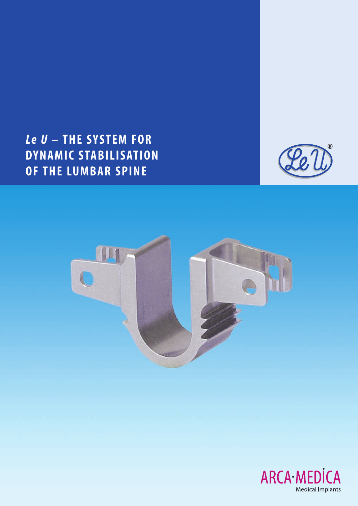# *Le U* **– THE SYSTEM FOR DYNAMIC STABILISATION OF THE LUMBAR SPINE**





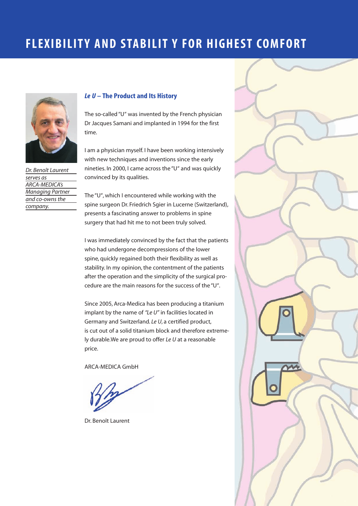# **FLEXIBILITY AND STABILIT Y FOR HIGHEST COMFORT**



*Dr. Benoît Laurent serves as ARCA-MEDICA's Managing Partner and co-owns the company.*

#### *Le U* **– The Product and Its History**

The so-called "U" was invented by the French physician Dr Jacques Samani and implanted in 1994 for the first time.

I am a physician myself. I have been working intensively with new techniques and inventions since the early nineties. In 2000, I came across the "U" and was quickly convinced by its qualities.

The "U", which I encountered while working with the spine surgeon Dr. Friedrich Sgier in Lucerne (Switzerland), presents a fascinating answer to problems in spine surgery that had hit me to not been truly solved.

I was immediately convinced by the fact that the patients who had undergone decompressions of the lower spine, quickly regained both their flexibility as well as stability. In my opinion, the contentment of the patients after the operation and the simplicity of the surgical procedure are the main reasons for the success of the "U".

Since 2005, Arca-Medica has been producing a titanium implant by the name of *"Le U"* in facilities located in Germany and Switzerland. *Le U*, a certified product, is cut out of a solid titanium block and therefore extremely durable.We are proud to offer *Le U* at a reasonable price.

ARCA-MEDICA GmbH

Dr. Benoît Laurent

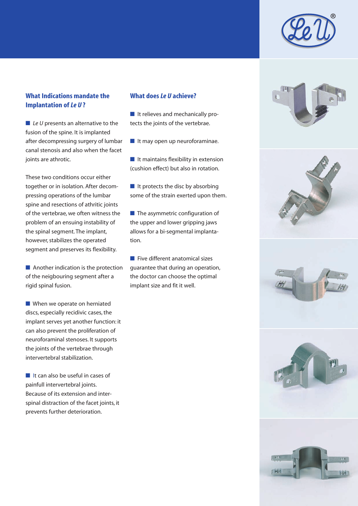

#### **What Indications mandate the Implantation of** *Le U* **?**

■ *Le U* presents an alternative to the fusion of the spine. It is implanted after decompressing surgery of lumbar canal stenosis and also when the facet joints are athrotic.

These two conditions occur either together or in isolation. After decompressing operations of the lumbar spine and resections of athritic joints of the vertebrae, we often witness the problem of an ensuing instability of the spinal segment. The implant, however, stabilizes the operated segment and preserves its flexibility.

■ Another indication is the protection of the neigbouring segment after a rigid spinal fusion.

■ When we operate on herniated discs, especially recidivic cases, the implant serves yet another function: it can also prevent the proliferation of neuroforaminal stenoses. It supports the joints of the vertebrae through intervertebral stabilization.

■ It can also be useful in cases of painfull intervertebral joints. Because of its extension and interspinal distraction of the facet joints, it prevents further deterioration.

#### **What does** *Le U* **achieve?**

■ It relieves and mechanically protects the joints of the vertebrae.

■ It may open up neuroforaminae.

■ It maintains flexibility in extension (cushion effect) but also in rotation.

 $\blacksquare$  It protects the disc by absorbing some of the strain exerted upon them.

■ The asymmetric configuration of the upper and lower gripping jaws allows for a bi-segmental implantation.

■ Five different anatomical sizes guarantee that during an operation, the doctor can choose the optimal implant size and fit it well.









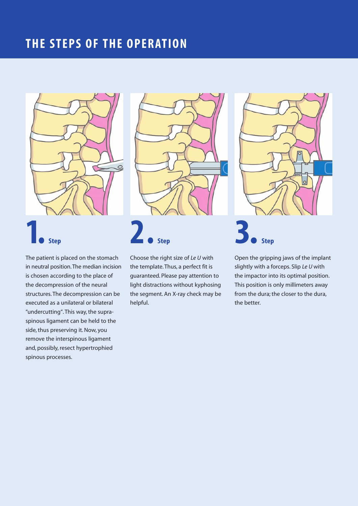## **THE STEPS OF THE OPERATION**







The patient is placed on the stomach in neutral position.The median incision is chosen according to the place of the decompression of the neural structures. The decompression can be executed as a unilateral or bilateral "undercutting". This way, the supraspinous ligament can be held to the side, thus preserving it. Now, you remove the interspinous ligament and, possibly, resect hypertrophied spinous processes.

Choose the right size of *Le U* with the template. Thus, a perfect fit is guaranteed. Please pay attention to light distractions without kyphosing the segment. An X-ray check may be helpful.

Open the gripping jaws of the implant slightly with a forceps. Slip *Le U* with the impactor into its optimal position. This position is only millimeters away from the dura; the closer to the dura, the better.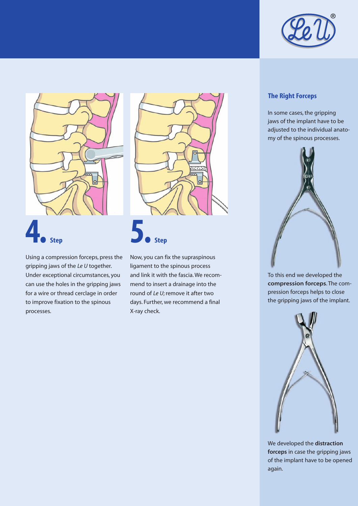



Using a compression forceps, press the gripping jaws of the *Le U* together. Under exceptional circumstances, you can use the holes in the gripping jaws for a wire or thread cerclage in order to improve fixation to the spinous processes.



Now, you can fix the supraspinous ligament to the spinous process and link it with the fascia. We recommend to insert a drainage into the round of *Le U*; remove it after two days. Further, we recommend a final X-ray check.

#### **The Right Forceps**

In some cases, the gripping jaws of the implant have to be adjusted to the individual anatomy of the spinous processes.



To this end we developed the **compression forceps**. The compression forceps helps to close the gripping jaws of the implant.



We developed the **distraction forceps** in case the gripping jaws of the implant have to be opened again.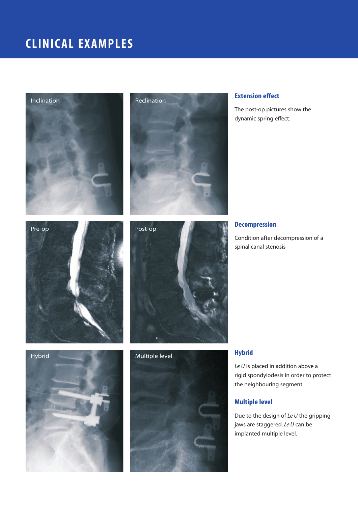# **CLINICAL EXAMPLES**





#### **Extension effect**

The post-op pictures show the dynamic spring effect.





#### **Decompression**

Condition after decompression of a spinal canal stenosis





#### **Hybrid**

*Le U* is placed in addition above a rigid spondylodesis in order to protect the neighbouring segment.

#### **Multiple level**

Due to the design of *Le U* the gripping jaws are staggered. *Le U* can be implanted multiple level.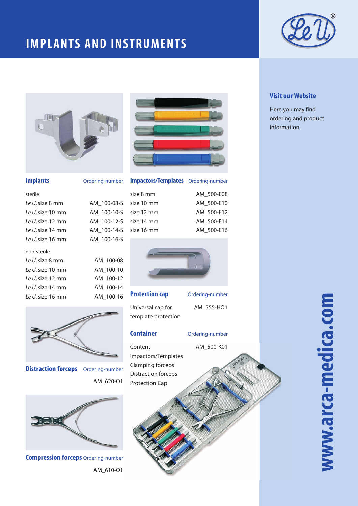# **IMPLANTS AND INSTRUMENTS**





*Le U*, size 14 mm AM\_100-14-S *Le U*, size 16 mm AM\_100-16-S

*Le U*, size 8 mm AM\_100-08 *Le U*, size 10 mm AM\_100-10 *Le U*, size 12 mm AM\_100-12 *Le U*, size 14 mm AM\_100-14 *Le U*, size 16 mm AM\_100-16

#### **Implants** Ord

non-sterile

| ering-number |  |
|--------------|--|

**Impactors/Templates** Ordering-number

| sterile          |                        | size 8 mm | AM 500-E08 |
|------------------|------------------------|-----------|------------|
| Le U, size 8 mm  | AM 100-08-S size 10 mm |           | AM 500-E10 |
| Le U, size 10 mm | AM 100-10-S size 12 mm |           | AM 500-E12 |
| Le U, size 12 mm | AM 100-12-S size 14 mm |           | AM 500-E14 |
| Le U, size 14 mm | AM 100-14-S size 16 mm |           | AM 500-E16 |
|                  |                        |           |            |



| <b>Protection cap</b> |
|-----------------------|
| Universal cap for     |
| template protection   |

#### **Container** Ordering-number

Content AM\_500-K01 Impactors/Templates Clamping forceps Distraction forceps Protection Cap



**Distraction forceps** Ordering-number

AM\_620-O1

**Compression forceps** Ordering-number AM\_610-O1

# AM\_555-HO1

### **Protecting-number**

#### **Visit our Website**

Here you may find ordering and product information.

# **www.arca-medica.com** www.arca-medica.com